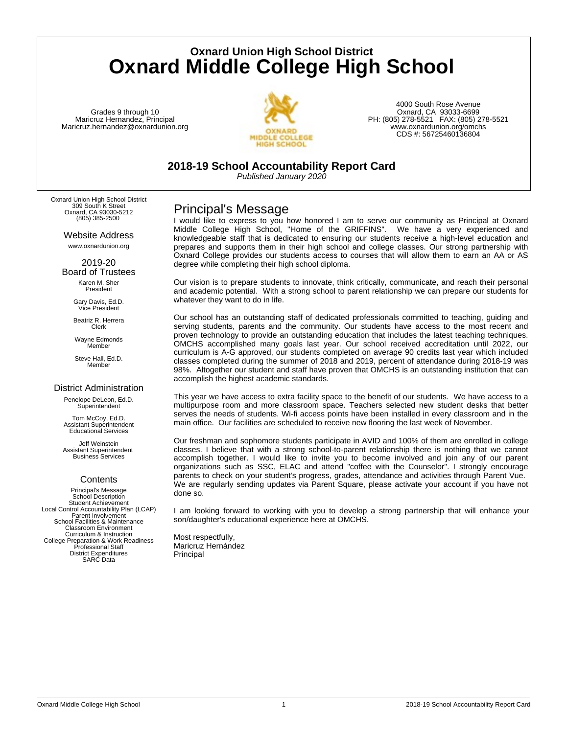**Oxnard Union High School District Oxnard Middle College High School**

Grades 9 through 10 Maricruz Hernandez, Principal Maricruz.hernandez@oxnardunion.org



4000 South Rose Avenue Oxnard, CA 93033-6699 PH: (805) 278-5521 FAX: (805) 278-5521 www.oxnardunion.org/omchs CDS #: 56725460136804

**2018-19 School Accountability Report Card**

*Published January 2020*

Oxnard Union High School District 309 South K Street Oxnard, CA 93030-5212 (805) 385-2500

> Website Address www.oxnardunion.org

2019-20 Board of Trustees

Karen M. Sher President

Gary Davis, Ed.D. Vice President

Beatriz R. Herrera Clerk

Wayne Edmonds Member

Steve Hall, Ed.D. **Member** 

### District Administration

Penelope DeLeon, Ed.D. **Superintendent** 

Tom McCoy, Ed.D. Assistant Superintendent Educational Services

Jeff Weinstein Assistant Superintendent Business Services

### **Contents**

Principal's Message School Description Student Achievement Local Control Accountability Plan (LCAP) Parent Involvement School Facilities & Maintenance Classroom Environment Curriculum & Instruction College Preparation & Work Readiness Professional Staff District Expenditures SARC Data

## Principal's Message

I would like to express to you how honored I am to serve our community as Principal at Oxnard Middle College High School, "Home of the GRIFFINS". We have a very experienced and knowledgeable staff that is dedicated to ensuring our students receive a high-level education and prepares and supports them in their high school and college classes. Our strong partnership with Oxnard College provides our students access to courses that will allow them to earn an AA or AS degree while completing their high school diploma.

Our vision is to prepare students to innovate, think critically, communicate, and reach their personal and academic potential. With a strong school to parent relationship we can prepare our students for whatever they want to do in life.

Our school has an outstanding staff of dedicated professionals committed to teaching, guiding and serving students, parents and the community. Our students have access to the most recent and proven technology to provide an outstanding education that includes the latest teaching techniques. OMCHS accomplished many goals last year. Our school received accreditation until 2022, our curriculum is A-G approved, our students completed on average 90 credits last year which included classes completed during the summer of 2018 and 2019, percent of attendance during 2018-19 was 98%. Altogether our student and staff have proven that OMCHS is an outstanding institution that can accomplish the highest academic standards.

This year we have access to extra facility space to the benefit of our students. We have access to a multipurpose room and more classroom space. Teachers selected new student desks that better serves the needs of students. Wi-fi access points have been installed in every classroom and in the main office. Our facilities are scheduled to receive new flooring the last week of November.

Our freshman and sophomore students participate in AVID and 100% of them are enrolled in college classes. I believe that with a strong school-to-parent relationship there is nothing that we cannot accomplish together. I would like to invite you to become involved and join any of our parent organizations such as SSC, ELAC and attend "coffee with the Counselor". I strongly encourage parents to check on your student's progress, grades, attendance and activities through Parent Vue. We are regularly sending updates via Parent Square, please activate your account if you have not done so.

I am looking forward to working with you to develop a strong partnership that will enhance your son/daughter's educational experience here at OMCHS.

Most respectfully, Maricruz Hernández Principal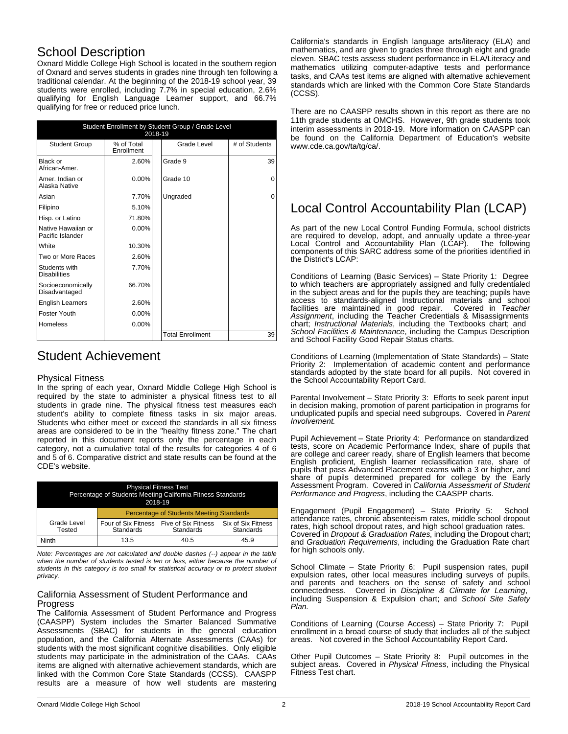## School Description

Oxnard Middle College High School is located in the southern region of Oxnard and serves students in grades nine through ten following a traditional calendar. At the beginning of the 2018-19 school year, 39 students were enrolled, including 7.7% in special education, 2.6% qualifying for English Language Learner support, and 66.7% qualifying for free or reduced price lunch.

| Student Enrollment by Student Group / Grade Level<br>2018-19 |                          |                         |               |  |
|--------------------------------------------------------------|--------------------------|-------------------------|---------------|--|
| <b>Student Group</b>                                         | % of Total<br>Enrollment | Grade Level             | # of Students |  |
| Black or<br>African-Amer.                                    | 2.60%                    | Grade 9                 | 39            |  |
| Amer. Indian or<br>Alaska Native                             | $0.00\%$                 | Grade 10                | 0             |  |
| Asian                                                        | 7.70%                    | Ungraded                | 0             |  |
| Filipino                                                     | 5.10%                    |                         |               |  |
| Hisp. or Latino                                              | 71.80%                   |                         |               |  |
| Native Hawaiian or<br>Pacific Islander                       | $0.00\%$                 |                         |               |  |
| White                                                        | 10.30%                   |                         |               |  |
| Two or More Races                                            | 2.60%                    |                         |               |  |
| Students with<br><b>Disabilities</b>                         | 7.70%                    |                         |               |  |
| Socioeconomically<br>Disadvantaged                           | 66.70%                   |                         |               |  |
| <b>English Learners</b>                                      | 2.60%                    |                         |               |  |
| <b>Foster Youth</b>                                          | $0.00\%$                 |                         |               |  |
| <b>Homeless</b>                                              | $0.00\%$                 |                         |               |  |
|                                                              |                          | <b>Total Enrollment</b> | 39            |  |

## Student Achievement

#### Physical Fitness

In the spring of each year, Oxnard Middle College High School is required by the state to administer a physical fitness test to all students in grade nine. The physical fitness test measures each student's ability to complete fitness tasks in six major areas. Students who either meet or exceed the standards in all six fitness areas are considered to be in the "healthy fitness zone." The chart reported in this document reports only the percentage in each category, not a cumulative total of the results for categories 4 of 6 and 5 of 6. Comparative district and state results can be found at the CDE's website.

| <b>Physical Fitness Test</b><br>Percentage of Students Meeting California Fitness Standards<br>2018-19 |                                                 |                                  |                                 |
|--------------------------------------------------------------------------------------------------------|-------------------------------------------------|----------------------------------|---------------------------------|
|                                                                                                        | <b>Percentage of Students Meeting Standards</b> |                                  |                                 |
| Grade Level<br>Tested                                                                                  | Four of Six Fitness<br>Standards                | Five of Six Fitness<br>Standards | Six of Six Fitness<br>Standards |
| Ninth                                                                                                  | 13.5                                            | 40.5                             | 45.9                            |

*Note: Percentages are not calculated and double dashes (--) appear in the table when the number of students tested is ten or less, either because the number of students in this category is too small for statistical accuracy or to protect student privacy.*

#### California Assessment of Student Performance and **Progress**

The California Assessment of Student Performance and Progress (CAASPP) System includes the Smarter Balanced Summative Assessments (SBAC) for students in the general education population, and the California Alternate Assessments (CAAs) for students with the most significant cognitive disabilities. Only eligible students may participate in the administration of the CAAs. CAAs items are aligned with alternative achievement standards, which are linked with the Common Core State Standards (CCSS). CAASPP results are a measure of how well students are mastering

California's standards in English language arts/literacy (ELA) and mathematics, and are given to grades three through eight and grade eleven. SBAC tests assess student performance in ELA/Literacy and mathematics utilizing computer-adaptive tests and performance tasks, and CAAs test items are aligned with alternative achievement standards which are linked with the Common Core State Standards (CCSS).

There are no CAASPP results shown in this report as there are no 11th grade students at OMCHS. However, 9th grade students took interim assessments in 2018-19. More information on CAASPP can be found on the California Department of Education's website www.cde.ca.gov/ta/tg/ca/.

# Local Control Accountability Plan (LCAP)

As part of the new Local Control Funding Formula, school districts are required to develop, adopt, and annually update a three-year Local Control and Accountability Plan (LCAP). The following components of this SARC address some of the priorities identified in the District's LCAP:

Conditions of Learning (Basic Services) – State Priority 1: Degree to which teachers are appropriately assigned and fully credentialed in the subject areas and for the pupils they are teaching; pupils have access to standards-aligned Instructional materials and school facilities are maintained in good repair. Covered in Teacher facilities are maintained in good repair. Covered in *Teacher Assignment*, including the Teacher Credentials & Misassignments chart; *Instructional Materials*, including the Textbooks chart; and *School Facilities & Maintenance*, including the Campus Description and School Facility Good Repair Status charts.

Conditions of Learning (Implementation of State Standards) – State Priority 2: Implementation of academic content and performance standards adopted by the state board for all pupils. Not covered in the School Accountability Report Card.

Parental Involvement – State Priority 3: Efforts to seek parent input in decision making, promotion of parent participation in programs for unduplicated pupils and special need subgroups. Covered in *Parent Involvement.*

Pupil Achievement – State Priority 4: Performance on standardized tests, score on Academic Performance Index, share of pupils that are college and career ready, share of English learners that become English proficient, English learner reclassification rate, share of pupils that pass Advanced Placement exams with a 3 or higher, and share of pupils determined prepared for college by the Early Assessment Program. Covered in *California Assessment of Student Performance and Progress*, including the CAASPP charts.

Engagement (Pupil Engagement) – State Priority 5: School attendance rates, chronic absenteeism rates, middle school dropout rates, high school dropout rates, and high school graduation rates. Covered in *Dropout & Graduation Rates*, including the Dropout chart; and *Graduation Requirements*, including the Graduation Rate chart for high schools only.

School Climate – State Priority 6: Pupil suspension rates, pupil expulsion rates, other local measures including surveys of pupils, and parents and teachers on the sense of safety and school connectedness. Covered in *Discipline & Climate for Learning*, including Suspension & Expulsion chart; and *School Site Safety Plan.*

Conditions of Learning (Course Access) – State Priority 7: Pupil enrollment in a broad course of study that includes all of the subject areas. Not covered in the School Accountability Report Card.

Other Pupil Outcomes – State Priority 8: Pupil outcomes in the subject areas. Covered in *Physical Fitness*, including the Physical Fitness Test chart.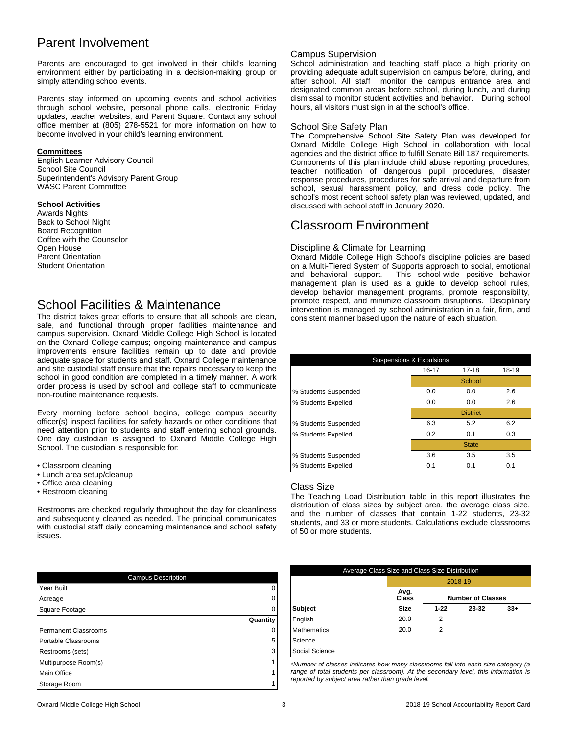## Parent Involvement

Parents are encouraged to get involved in their child's learning environment either by participating in a decision-making group or simply attending school events.

Parents stay informed on upcoming events and school activities through school website, personal phone calls, electronic Friday updates, teacher websites, and Parent Square. Contact any school office member at (805) 278-5521 for more information on how to become involved in your child's learning environment.

#### **Committees**

English Learner Advisory Council School Site Council Superintendent's Advisory Parent Group WASC Parent Committee

#### **School Activities**

Awards Nights Back to School Night Board Recognition Coffee with the Counselor Open House Parent Orientation Student Orientation

### School Facilities & Maintenance

The district takes great efforts to ensure that all schools are clean, safe, and functional through proper facilities maintenance and campus supervision. Oxnard Middle College High School is located on the Oxnard College campus; ongoing maintenance and campus improvements ensure facilities remain up to date and provide adequate space for students and staff. Oxnard College maintenance and site custodial staff ensure that the repairs necessary to keep the school in good condition are completed in a timely manner. A work order process is used by school and college staff to communicate non-routine maintenance requests.

Every morning before school begins, college campus security officer(s) inspect facilities for safety hazards or other conditions that need attention prior to students and staff entering school grounds. One day custodian is assigned to Oxnard Middle College High School. The custodian is responsible for:

- Classroom cleaning
- Lunch area setup/cleanup
- Office area cleaning
- Restroom cleaning

Restrooms are checked regularly throughout the day for cleanliness and subsequently cleaned as needed. The principal communicates with custodial staff daily concerning maintenance and school safety issues.

| <b>Campus Description</b>   |          |  |
|-----------------------------|----------|--|
| Year Built                  | 0        |  |
| Acreage                     | $\Omega$ |  |
| Square Footage              | $\Omega$ |  |
|                             | Quantity |  |
| <b>Permanent Classrooms</b> | 0        |  |
| Portable Classrooms         | 5        |  |
| Restrooms (sets)            | 3        |  |
| Multipurpose Room(s)        | 1        |  |
| Main Office                 | 1        |  |
| Storage Room                | 1        |  |

#### Campus Supervision

School administration and teaching staff place a high priority on providing adequate adult supervision on campus before, during, and after school. All staff monitor the campus entrance area and designated common areas before school, during lunch, and during dismissal to monitor student activities and behavior. During school hours, all visitors must sign in at the school's office.

#### School Site Safety Plan

The Comprehensive School Site Safety Plan was developed for Oxnard Middle College High School in collaboration with local agencies and the district office to fulfill Senate Bill 187 requirements. Components of this plan include child abuse reporting procedures, teacher notification of dangerous pupil procedures, disaster response procedures, procedures for safe arrival and departure from school, sexual harassment policy, and dress code policy. The school's most recent school safety plan was reviewed, updated, and discussed with school staff in January 2020.

### Classroom Environment

#### Discipline & Climate for Learning

Oxnard Middle College High School's discipline policies are based on a Multi-Tiered System of Supports approach to social, emotional and behavioral support. This school-wide positive behavior This school-wide positive behavior management plan is used as a guide to develop school rules, develop behavior management programs, promote responsibility, promote respect, and minimize classroom disruptions. Disciplinary intervention is managed by school administration in a fair, firm, and consistent manner based upon the nature of each situation.

| <b>Suspensions &amp; Expulsions</b> |           |                 |       |  |
|-------------------------------------|-----------|-----------------|-------|--|
|                                     | $16 - 17$ | $17 - 18$       | 18-19 |  |
|                                     |           | School          |       |  |
| % Students Suspended                | 0.0       | 0.0             | 2.6   |  |
| % Students Expelled                 | 0.0       | 0.0             | 2.6   |  |
|                                     |           | <b>District</b> |       |  |
| % Students Suspended                | 6.3       | 5.2             | 6.2   |  |
| % Students Expelled                 | 0.2       | 0.1             | 0.3   |  |
|                                     |           | <b>State</b>    |       |  |
| % Students Suspended                | 3.6       | 3.5             | 3.5   |  |
| % Students Expelled                 | 0.1       | 0.1             | 0.1   |  |

#### Class Size

The Teaching Load Distribution table in this report illustrates the distribution of class sizes by subject area, the average class size, and the number of classes that contain 1-22 students, 23-32 students, and 33 or more students. Calculations exclude classrooms of 50 or more students.

| Average Class Size and Class Size Distribution |                                           |   |  |  |
|------------------------------------------------|-------------------------------------------|---|--|--|
|                                                | 2018-19                                   |   |  |  |
|                                                | Avg.<br>Class<br><b>Number of Classes</b> |   |  |  |
| <b>Subject</b>                                 | <b>Size</b><br>$33+$<br>$1-22$<br>23-32   |   |  |  |
| English                                        | 20.0                                      | 2 |  |  |
| <b>Mathematics</b>                             | 20.0                                      | 2 |  |  |
| Science                                        |                                           |   |  |  |
| Social Science                                 |                                           |   |  |  |

*\*Number of classes indicates how many classrooms fall into each size category (a range of total students per classroom). At the secondary level, this information is reported by subject area rather than grade level.*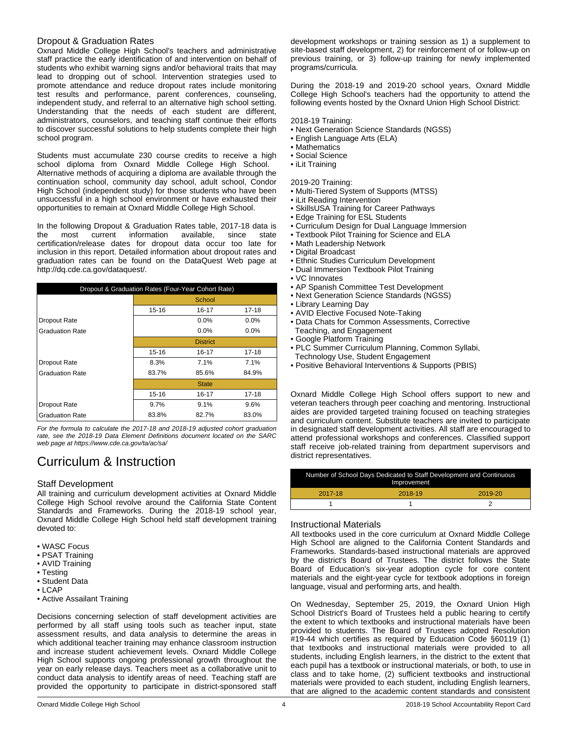### Dropout & Graduation Rates

Oxnard Middle College High School's teachers and administrative staff practice the early identification of and intervention on behalf of students who exhibit warning signs and/or behavioral traits that may lead to dropping out of school. Intervention strategies used to promote attendance and reduce dropout rates include monitoring test results and performance, parent conferences, counseling, independent study, and referral to an alternative high school setting. Understanding that the needs of each student are different, administrators, counselors, and teaching staff continue their efforts to discover successful solutions to help students complete their high school program.

Students must accumulate 230 course credits to receive a high school diploma from Oxnard Middle College High School. Alternative methods of acquiring a diploma are available through the continuation school, community day school, adult school, Condor High School (independent study) for those students who have been unsuccessful in a high school environment or have exhausted their opportunities to remain at Oxnard Middle College High School.

In the following Dropout & Graduation Rates table, 2017-18 data is the most current information available, since state certification/release dates for dropout data occur too late for inclusion in this report. Detailed information about dropout rates and graduation rates can be found on the DataQuest Web page at http://dq.cde.ca.gov/dataquest/.

| Dropout & Graduation Rates (Four-Year Cohort Rate) |                 |              |           |
|----------------------------------------------------|-----------------|--------------|-----------|
|                                                    |                 | School       |           |
|                                                    | $15 - 16$       | $16 - 17$    | $17 - 18$ |
| Dropout Rate                                       |                 | $0.0\%$      | $0.0\%$   |
| <b>Graduation Rate</b>                             |                 | $0.0\%$      | $0.0\%$   |
|                                                    | <b>District</b> |              |           |
|                                                    | $15 - 16$       | 16-17        | 17-18     |
| Dropout Rate                                       | 8.3%            | $7.1\%$      | 7.1%      |
| <b>Graduation Rate</b>                             | 83.7%           | 85.6%        | 84.9%     |
|                                                    |                 | <b>State</b> |           |
|                                                    | $15 - 16$       | 16-17        | 17-18     |
| <b>Dropout Rate</b>                                | 9.7%            | 9.1%         | 9.6%      |
| <b>Graduation Rate</b>                             | 83.8%           | 82.7%        | 83.0%     |

*For the formula to calculate the 2017-18 and 2018-19 adjusted cohort graduation rate, see the 2018-19 Data Element Definitions document located on the SARC web page at https://www.cde.ca.gov/ta/ac/sa/*

# Curriculum & Instruction

### Staff Development

All training and curriculum development activities at Oxnard Middle College High School revolve around the California State Content Standards and Frameworks. During the 2018-19 school year, Oxnard Middle College High School held staff development training devoted to:

- WASC Focus
- PSAT Training
- AVID Training
- Testing
- Student Data
- LCAP
- Active Assailant Training

Decisions concerning selection of staff development activities are performed by all staff using tools such as teacher input, state assessment results, and data analysis to determine the areas in which additional teacher training may enhance classroom instruction and increase student achievement levels. Oxnard Middle College High School supports ongoing professional growth throughout the year on early release days. Teachers meet as a collaborative unit to conduct data analysis to identify areas of need. Teaching staff are provided the opportunity to participate in district-sponsored staff

development workshops or training session as 1) a supplement to site-based staff development, 2) for reinforcement of or follow-up on previous training, or 3) follow-up training for newly implemented programs/curricula.

During the 2018-19 and 2019-20 school years, Oxnard Middle College High School's teachers had the opportunity to attend the following events hosted by the Oxnard Union High School District:

#### 2018-19 Training:

- Next Generation Science Standards (NGSS)
- English Language Arts (ELA)
- Mathematics
- Social Science
- iLit Training

2019-20 Training:

- Multi-Tiered System of Supports (MTSS)
- iLit Reading Intervention
- SkillsUSA Training for Career Pathways
- Edge Training for ESL Students
- Curriculum Design for Dual Language Immersion
- Textbook Pilot Training for Science and ELA
- Math Leadership Network
- Digital Broadcast
- Ethnic Studies Curriculum Development
- Dual Immersion Textbook Pilot Training
- VC Innovates
- AP Spanish Committee Test Development
- Next Generation Science Standards (NGSS)
- Library Learning Day
- AVID Elective Focused Note-Taking
- Data Chats for Common Assessments, Corrective Teaching, and Engagement
- Google Platform Training
- PLC Summer Curriculum Planning, Common Syllabi, Technology Use, Student Engagement
- Positive Behavioral Interventions & Supports (PBIS)

Oxnard Middle College High School offers support to new and veteran teachers through peer coaching and mentoring. Instructional aides are provided targeted training focused on teaching strategies and curriculum content. Substitute teachers are invited to participate in designated staff development activities. All staff are encouraged to attend professional workshops and conferences. Classified support staff receive job-related training from department supervisors and district representatives.

| Number of School Days Dedicated to Staff Development and Continuous<br>Improvement |         |         |  |
|------------------------------------------------------------------------------------|---------|---------|--|
| 2017-18                                                                            | 2018-19 | 2019-20 |  |
|                                                                                    |         |         |  |

#### Instructional Materials

All textbooks used in the core curriculum at Oxnard Middle College High School are aligned to the California Content Standards and Frameworks. Standards-based instructional materials are approved by the district's Board of Trustees. The district follows the State Board of Education's six-year adoption cycle for core content materials and the eight-year cycle for textbook adoptions in foreign language, visual and performing arts, and health.

On Wednesday, September 25, 2019, the Oxnard Union High School District's Board of Trustees held a public hearing to certify the extent to which textbooks and instructional materials have been provided to students. The Board of Trustees adopted Resolution #19-44 which certifies as required by Education Code §60119 (1) that textbooks and instructional materials were provided to all students, including English learners, in the district to the extent that each pupil has a textbook or instructional materials, or both, to use in class and to take home, (2) sufficient textbooks and instructional materials were provided to each student, including English learners, that are aligned to the academic content standards and consistent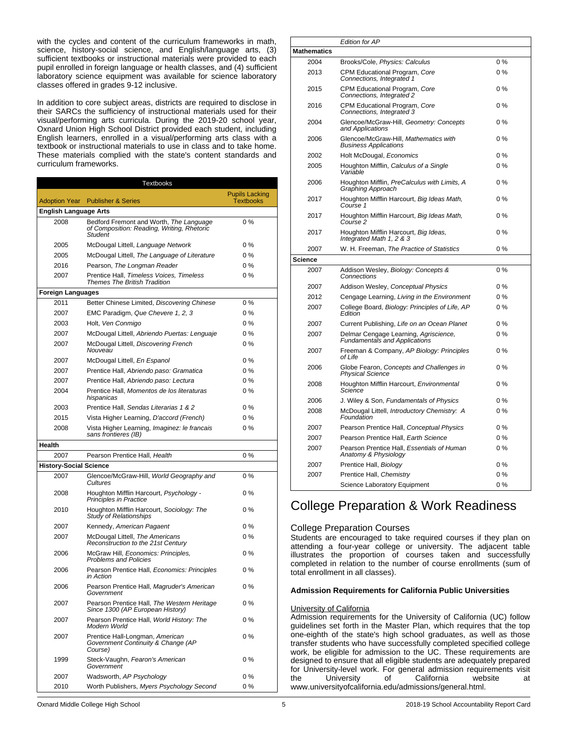with the cycles and content of the curriculum frameworks in math, science, history-social science, and English/language arts, (3) sufficient textbooks or instructional materials were provided to each pupil enrolled in foreign language or health classes, and (4) sufficient laboratory science equipment was available for science laboratory classes offered in grades 9-12 inclusive.

In addition to core subject areas, districts are required to disclose in their SARCs the sufficiency of instructional materials used for their visual/performing arts curricula. During the 2019-20 school year, Oxnard Union High School District provided each student, including English learners, enrolled in a visual/performing arts class with a textbook or instructional materials to use in class and to take home. These materials complied with the state's content standards and curriculum frameworks.

|                               | <b>Textbooks</b>                                                                                 |                                           |
|-------------------------------|--------------------------------------------------------------------------------------------------|-------------------------------------------|
|                               | <b>Adoption Year</b> Publisher & Series                                                          | <b>Pupils Lacking</b><br><b>Textbooks</b> |
| <b>English Language Arts</b>  |                                                                                                  |                                           |
| 2008                          | Bedford Fremont and Worth, The Language<br>of Composition: Reading, Writing, Rhetoric<br>Student | $0\%$                                     |
| 2005                          | McDougal Littell, Language Network                                                               | $0\%$                                     |
| 2005                          | McDougal Littell, The Language of Literature                                                     | $0\%$                                     |
| 2016                          | Pearson, The Longman Reader                                                                      | $0\%$                                     |
| 2007                          | Prentice Hall, Timeless Voices, Timeless<br><b>Themes The British Tradition</b>                  | $0\%$                                     |
| <b>Foreign Languages</b>      |                                                                                                  |                                           |
| 2011                          | Better Chinese Limited, Discovering Chinese                                                      | 0%                                        |
| 2007                          | EMC Paradigm, Que Chevere 1, 2, 3                                                                | $0\%$                                     |
| 2003                          | Holt, Ven Conmigo                                                                                | $0\%$                                     |
| 2007                          | McDougal Littell, Abriendo Puertas: Lenguaje                                                     | 0%                                        |
| 2007                          | McDougal Littell, Discovering French<br>Nouveau                                                  | $0\%$                                     |
| 2007                          | McDougal Littell, En Espanol                                                                     | $0\%$                                     |
| 2007                          | Prentice Hall, Abriendo paso: Gramatica                                                          | $0\%$                                     |
| 2007                          | Prentice Hall, Abriendo paso: Lectura                                                            | $0\%$                                     |
| 2004                          | Prentice Hall, Momentos de los literaturas<br>hispanicas                                         | $0\%$                                     |
| 2003                          | Prentice Hall, Sendas Literarias 1 & 2                                                           | $0\%$                                     |
| 2015                          | Vista Higher Learning, D'accord (French)                                                         | $0\%$                                     |
| 2008                          | Vista Higher Learning, Imaginez: le francais<br>sans frontieres (IB)                             | 0%                                        |
| <b>Health</b>                 |                                                                                                  |                                           |
| 2007                          | Pearson Prentice Hall, Health                                                                    | $0\%$                                     |
| <b>History-Social Science</b> |                                                                                                  |                                           |
| 2007                          | Glencoe/McGraw-Hill, World Geography and<br>Cultures                                             | 0%                                        |
| 2008                          | Houghton Mifflin Harcourt, Psychology -<br>Principles in Practice                                | $0\%$                                     |
| 2010                          | Houghton Mifflin Harcourt, Sociology: The<br><b>Study of Relationships</b>                       | $0\%$                                     |
| 2007                          | Kennedy, American Pagaent                                                                        | $0\%$                                     |
| 2007                          | McDougal Littell, The Americans<br>Reconstruction to the 21st Century                            | 0%                                        |
| 2006                          | McGraw Hill, Economics: Principles,<br><b>Problems and Policies</b>                              | 0%                                        |
| 2006                          | Pearson Prentice Hall, Economics: Principles<br>in Action                                        | 0%                                        |
| 2006                          | Pearson Prentice Hall, Magruder's American<br>Government                                         | 0%                                        |
| 2007                          | Pearson Prentice Hall, The Western Heritage<br>Since 1300 (AP European History)                  | $0\%$                                     |
| 2007                          | Pearson Prentice Hall, World History: The<br>Modern World                                        | 0%                                        |
| 2007                          | Prentice Hall-Longman, American<br>Government Continuity & Change (AP<br>Course)                 | 0%                                        |
| 1999                          | Steck-Vaughn, Fearon's American<br>Government                                                    | 0 %                                       |
| 2007                          | Wadsworth, AP Psychology                                                                         | 0 %                                       |
| 2010                          | Worth Publishers, Myers Psychology Second                                                        | 0%                                        |

| <b>Mathematics</b><br>Brooks/Cole, Physics: Calculus<br>$0\%$<br>2004<br>CPM Educational Program, Core<br>$0\%$<br>2013<br>Connections, Integrated 1<br>CPM Educational Program, Core<br>2015<br>0 %<br>Connections, Integrated 2<br>CPM Educational Program, Core<br>2016<br>$0\%$<br>Connections, Integrated 3<br>Glencoe/McGraw-Hill, Geometry: Concepts<br>2004<br>$0\%$<br>and Applications<br>Glencoe/McGraw-Hill, Mathematics with<br>$0\%$<br>2006<br><b>Business Applications</b><br>Holt McDougal, Economics<br>$0\%$<br>2002<br>Houghton Mifflin, Calculus of a Single<br>0%<br>2005<br>Variable<br>Houghton Mifflin, PreCalculus with Limits, A<br>0%<br>2006<br>Graphing Approach<br>2017<br>Houghton Mifflin Harcourt, Big Ideas Math,<br>0%<br>Course 1<br>Houghton Mifflin Harcourt, Big Ideas Math,<br>0%<br>2017<br>Course 2<br>Houghton Mifflin Harcourt, Big Ideas,<br>0%<br>2017<br>Integrated Math 1, 2 & 3<br>W. H. Freeman, The Practice of Statistics<br>0%<br>2007<br><b>Science</b><br>0%<br>2007<br>Addison Wesley, Biology: Concepts &<br>Connections<br>2007<br>Addison Wesley, Conceptual Physics<br>$0\%$<br>Cengage Learning, Living in the Environment<br>2012<br>$0\%$<br>College Board, Biology: Principles of Life, AP<br>2007<br>0 %<br>Edition<br>Current Publishing, Life on an Ocean Planet<br>2007<br>$0\%$<br>2007<br>Delmar Cengage Learning, Agriscience,<br>$0\%$<br><b>Fundamentals and Applications</b><br>Freeman & Company, AP Biology: Principles<br>$0\%$<br>2007<br>of Life<br>Globe Fearon, Concepts and Challenges in<br>2006<br>$0\%$<br><b>Physical Science</b><br>Houghton Mifflin Harcourt, Environmental<br>2008<br>$0\%$<br>Science<br>J. Wiley & Son, Fundamentals of Physics<br>2006<br>$0\%$<br>McDougal Littell, Introductory Chemistry: A<br>$0\%$<br>2008<br>Foundation<br>Pearson Prentice Hall, Conceptual Physics<br>$0\%$<br>2007<br>Pearson Prentice Hall, Earth Science<br>2007<br>$0\%$<br>Pearson Prentice Hall, Essentials of Human<br>2007<br>0%<br>Anatomy & Physiology<br>2007<br>Prentice Hall, Biology<br>$0\%$<br>2007<br>Prentice Hall, Chemistry<br>$0\%$<br>0%<br>Science Laboratory Equipment | Edition for AP |  |
|-------------------------------------------------------------------------------------------------------------------------------------------------------------------------------------------------------------------------------------------------------------------------------------------------------------------------------------------------------------------------------------------------------------------------------------------------------------------------------------------------------------------------------------------------------------------------------------------------------------------------------------------------------------------------------------------------------------------------------------------------------------------------------------------------------------------------------------------------------------------------------------------------------------------------------------------------------------------------------------------------------------------------------------------------------------------------------------------------------------------------------------------------------------------------------------------------------------------------------------------------------------------------------------------------------------------------------------------------------------------------------------------------------------------------------------------------------------------------------------------------------------------------------------------------------------------------------------------------------------------------------------------------------------------------------------------------------------------------------------------------------------------------------------------------------------------------------------------------------------------------------------------------------------------------------------------------------------------------------------------------------------------------------------------------------------------------------------------------------------------------------------------------------------------------------------|----------------|--|
|                                                                                                                                                                                                                                                                                                                                                                                                                                                                                                                                                                                                                                                                                                                                                                                                                                                                                                                                                                                                                                                                                                                                                                                                                                                                                                                                                                                                                                                                                                                                                                                                                                                                                                                                                                                                                                                                                                                                                                                                                                                                                                                                                                                     |                |  |
|                                                                                                                                                                                                                                                                                                                                                                                                                                                                                                                                                                                                                                                                                                                                                                                                                                                                                                                                                                                                                                                                                                                                                                                                                                                                                                                                                                                                                                                                                                                                                                                                                                                                                                                                                                                                                                                                                                                                                                                                                                                                                                                                                                                     |                |  |
|                                                                                                                                                                                                                                                                                                                                                                                                                                                                                                                                                                                                                                                                                                                                                                                                                                                                                                                                                                                                                                                                                                                                                                                                                                                                                                                                                                                                                                                                                                                                                                                                                                                                                                                                                                                                                                                                                                                                                                                                                                                                                                                                                                                     |                |  |
|                                                                                                                                                                                                                                                                                                                                                                                                                                                                                                                                                                                                                                                                                                                                                                                                                                                                                                                                                                                                                                                                                                                                                                                                                                                                                                                                                                                                                                                                                                                                                                                                                                                                                                                                                                                                                                                                                                                                                                                                                                                                                                                                                                                     |                |  |
|                                                                                                                                                                                                                                                                                                                                                                                                                                                                                                                                                                                                                                                                                                                                                                                                                                                                                                                                                                                                                                                                                                                                                                                                                                                                                                                                                                                                                                                                                                                                                                                                                                                                                                                                                                                                                                                                                                                                                                                                                                                                                                                                                                                     |                |  |
|                                                                                                                                                                                                                                                                                                                                                                                                                                                                                                                                                                                                                                                                                                                                                                                                                                                                                                                                                                                                                                                                                                                                                                                                                                                                                                                                                                                                                                                                                                                                                                                                                                                                                                                                                                                                                                                                                                                                                                                                                                                                                                                                                                                     |                |  |
|                                                                                                                                                                                                                                                                                                                                                                                                                                                                                                                                                                                                                                                                                                                                                                                                                                                                                                                                                                                                                                                                                                                                                                                                                                                                                                                                                                                                                                                                                                                                                                                                                                                                                                                                                                                                                                                                                                                                                                                                                                                                                                                                                                                     |                |  |
|                                                                                                                                                                                                                                                                                                                                                                                                                                                                                                                                                                                                                                                                                                                                                                                                                                                                                                                                                                                                                                                                                                                                                                                                                                                                                                                                                                                                                                                                                                                                                                                                                                                                                                                                                                                                                                                                                                                                                                                                                                                                                                                                                                                     |                |  |
|                                                                                                                                                                                                                                                                                                                                                                                                                                                                                                                                                                                                                                                                                                                                                                                                                                                                                                                                                                                                                                                                                                                                                                                                                                                                                                                                                                                                                                                                                                                                                                                                                                                                                                                                                                                                                                                                                                                                                                                                                                                                                                                                                                                     |                |  |
|                                                                                                                                                                                                                                                                                                                                                                                                                                                                                                                                                                                                                                                                                                                                                                                                                                                                                                                                                                                                                                                                                                                                                                                                                                                                                                                                                                                                                                                                                                                                                                                                                                                                                                                                                                                                                                                                                                                                                                                                                                                                                                                                                                                     |                |  |
|                                                                                                                                                                                                                                                                                                                                                                                                                                                                                                                                                                                                                                                                                                                                                                                                                                                                                                                                                                                                                                                                                                                                                                                                                                                                                                                                                                                                                                                                                                                                                                                                                                                                                                                                                                                                                                                                                                                                                                                                                                                                                                                                                                                     |                |  |
|                                                                                                                                                                                                                                                                                                                                                                                                                                                                                                                                                                                                                                                                                                                                                                                                                                                                                                                                                                                                                                                                                                                                                                                                                                                                                                                                                                                                                                                                                                                                                                                                                                                                                                                                                                                                                                                                                                                                                                                                                                                                                                                                                                                     |                |  |
|                                                                                                                                                                                                                                                                                                                                                                                                                                                                                                                                                                                                                                                                                                                                                                                                                                                                                                                                                                                                                                                                                                                                                                                                                                                                                                                                                                                                                                                                                                                                                                                                                                                                                                                                                                                                                                                                                                                                                                                                                                                                                                                                                                                     |                |  |
|                                                                                                                                                                                                                                                                                                                                                                                                                                                                                                                                                                                                                                                                                                                                                                                                                                                                                                                                                                                                                                                                                                                                                                                                                                                                                                                                                                                                                                                                                                                                                                                                                                                                                                                                                                                                                                                                                                                                                                                                                                                                                                                                                                                     |                |  |
|                                                                                                                                                                                                                                                                                                                                                                                                                                                                                                                                                                                                                                                                                                                                                                                                                                                                                                                                                                                                                                                                                                                                                                                                                                                                                                                                                                                                                                                                                                                                                                                                                                                                                                                                                                                                                                                                                                                                                                                                                                                                                                                                                                                     |                |  |
|                                                                                                                                                                                                                                                                                                                                                                                                                                                                                                                                                                                                                                                                                                                                                                                                                                                                                                                                                                                                                                                                                                                                                                                                                                                                                                                                                                                                                                                                                                                                                                                                                                                                                                                                                                                                                                                                                                                                                                                                                                                                                                                                                                                     |                |  |
|                                                                                                                                                                                                                                                                                                                                                                                                                                                                                                                                                                                                                                                                                                                                                                                                                                                                                                                                                                                                                                                                                                                                                                                                                                                                                                                                                                                                                                                                                                                                                                                                                                                                                                                                                                                                                                                                                                                                                                                                                                                                                                                                                                                     |                |  |
|                                                                                                                                                                                                                                                                                                                                                                                                                                                                                                                                                                                                                                                                                                                                                                                                                                                                                                                                                                                                                                                                                                                                                                                                                                                                                                                                                                                                                                                                                                                                                                                                                                                                                                                                                                                                                                                                                                                                                                                                                                                                                                                                                                                     |                |  |
|                                                                                                                                                                                                                                                                                                                                                                                                                                                                                                                                                                                                                                                                                                                                                                                                                                                                                                                                                                                                                                                                                                                                                                                                                                                                                                                                                                                                                                                                                                                                                                                                                                                                                                                                                                                                                                                                                                                                                                                                                                                                                                                                                                                     |                |  |
|                                                                                                                                                                                                                                                                                                                                                                                                                                                                                                                                                                                                                                                                                                                                                                                                                                                                                                                                                                                                                                                                                                                                                                                                                                                                                                                                                                                                                                                                                                                                                                                                                                                                                                                                                                                                                                                                                                                                                                                                                                                                                                                                                                                     |                |  |
|                                                                                                                                                                                                                                                                                                                                                                                                                                                                                                                                                                                                                                                                                                                                                                                                                                                                                                                                                                                                                                                                                                                                                                                                                                                                                                                                                                                                                                                                                                                                                                                                                                                                                                                                                                                                                                                                                                                                                                                                                                                                                                                                                                                     |                |  |
|                                                                                                                                                                                                                                                                                                                                                                                                                                                                                                                                                                                                                                                                                                                                                                                                                                                                                                                                                                                                                                                                                                                                                                                                                                                                                                                                                                                                                                                                                                                                                                                                                                                                                                                                                                                                                                                                                                                                                                                                                                                                                                                                                                                     |                |  |
|                                                                                                                                                                                                                                                                                                                                                                                                                                                                                                                                                                                                                                                                                                                                                                                                                                                                                                                                                                                                                                                                                                                                                                                                                                                                                                                                                                                                                                                                                                                                                                                                                                                                                                                                                                                                                                                                                                                                                                                                                                                                                                                                                                                     |                |  |
|                                                                                                                                                                                                                                                                                                                                                                                                                                                                                                                                                                                                                                                                                                                                                                                                                                                                                                                                                                                                                                                                                                                                                                                                                                                                                                                                                                                                                                                                                                                                                                                                                                                                                                                                                                                                                                                                                                                                                                                                                                                                                                                                                                                     |                |  |
|                                                                                                                                                                                                                                                                                                                                                                                                                                                                                                                                                                                                                                                                                                                                                                                                                                                                                                                                                                                                                                                                                                                                                                                                                                                                                                                                                                                                                                                                                                                                                                                                                                                                                                                                                                                                                                                                                                                                                                                                                                                                                                                                                                                     |                |  |
|                                                                                                                                                                                                                                                                                                                                                                                                                                                                                                                                                                                                                                                                                                                                                                                                                                                                                                                                                                                                                                                                                                                                                                                                                                                                                                                                                                                                                                                                                                                                                                                                                                                                                                                                                                                                                                                                                                                                                                                                                                                                                                                                                                                     |                |  |
|                                                                                                                                                                                                                                                                                                                                                                                                                                                                                                                                                                                                                                                                                                                                                                                                                                                                                                                                                                                                                                                                                                                                                                                                                                                                                                                                                                                                                                                                                                                                                                                                                                                                                                                                                                                                                                                                                                                                                                                                                                                                                                                                                                                     |                |  |
|                                                                                                                                                                                                                                                                                                                                                                                                                                                                                                                                                                                                                                                                                                                                                                                                                                                                                                                                                                                                                                                                                                                                                                                                                                                                                                                                                                                                                                                                                                                                                                                                                                                                                                                                                                                                                                                                                                                                                                                                                                                                                                                                                                                     |                |  |
|                                                                                                                                                                                                                                                                                                                                                                                                                                                                                                                                                                                                                                                                                                                                                                                                                                                                                                                                                                                                                                                                                                                                                                                                                                                                                                                                                                                                                                                                                                                                                                                                                                                                                                                                                                                                                                                                                                                                                                                                                                                                                                                                                                                     |                |  |
|                                                                                                                                                                                                                                                                                                                                                                                                                                                                                                                                                                                                                                                                                                                                                                                                                                                                                                                                                                                                                                                                                                                                                                                                                                                                                                                                                                                                                                                                                                                                                                                                                                                                                                                                                                                                                                                                                                                                                                                                                                                                                                                                                                                     |                |  |
|                                                                                                                                                                                                                                                                                                                                                                                                                                                                                                                                                                                                                                                                                                                                                                                                                                                                                                                                                                                                                                                                                                                                                                                                                                                                                                                                                                                                                                                                                                                                                                                                                                                                                                                                                                                                                                                                                                                                                                                                                                                                                                                                                                                     |                |  |
|                                                                                                                                                                                                                                                                                                                                                                                                                                                                                                                                                                                                                                                                                                                                                                                                                                                                                                                                                                                                                                                                                                                                                                                                                                                                                                                                                                                                                                                                                                                                                                                                                                                                                                                                                                                                                                                                                                                                                                                                                                                                                                                                                                                     |                |  |

## College Preparation & Work Readiness

#### College Preparation Courses

Students are encouraged to take required courses if they plan on attending a four-year college or university. The adjacent table illustrates the proportion of courses taken and successfully completed in relation to the number of course enrollments (sum of total enrollment in all classes).

#### **Admission Requirements for California Public Universities**

#### University of California

Admission requirements for the University of California (UC) follow guidelines set forth in the Master Plan, which requires that the top one-eighth of the state's high school graduates, as well as those transfer students who have successfully completed specified college work, be eligible for admission to the UC. These requirements are designed to ensure that all eligible students are adequately prepared for University-level work. For general admission requirements visit<br>the University of California website at the University of California website at www.universityofcalifornia.edu/admissions/general.html.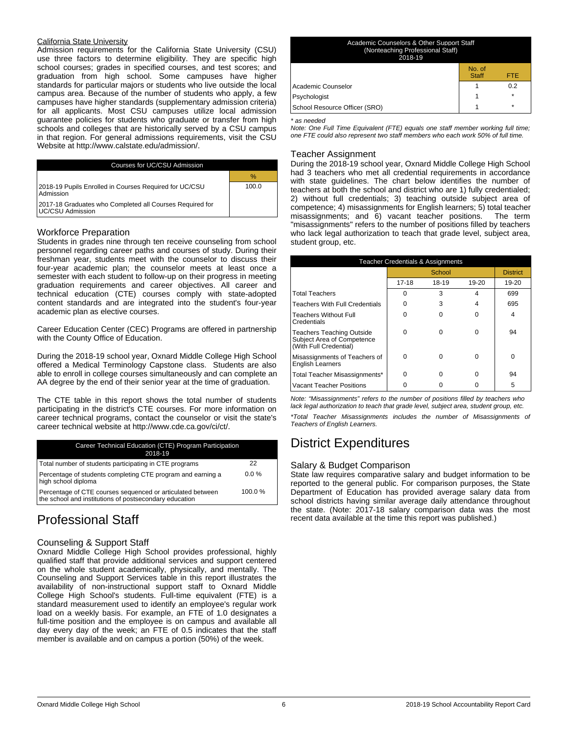#### California State University

Admission requirements for the California State University (CSU) use three factors to determine eligibility. They are specific high school courses; grades in specified courses, and test scores; and graduation from high school. Some campuses have higher standards for particular majors or students who live outside the local campus area. Because of the number of students who apply, a few campuses have higher standards (supplementary admission criteria) for all applicants. Most CSU campuses utilize local admission guarantee policies for students who graduate or transfer from high schools and colleges that are historically served by a CSU campus in that region. For general admissions requirements, visit the CSU Website at http://www.calstate.edu/admission/.

| Courses for UC/CSU Admission                                                 |       |
|------------------------------------------------------------------------------|-------|
|                                                                              | $\%$  |
| 2018-19 Pupils Enrolled in Courses Required for UC/CSU<br>Admission          | 100.0 |
| 2017-18 Graduates who Completed all Courses Required for<br>UC/CSU Admission |       |

### Workforce Preparation

Students in grades nine through ten receive counseling from school personnel regarding career paths and courses of study. During their freshman year, students meet with the counselor to discuss their four-year academic plan; the counselor meets at least once a semester with each student to follow-up on their progress in meeting graduation requirements and career objectives. All career and technical education (CTE) courses comply with state-adopted content standards and are integrated into the student's four-year academic plan as elective courses.

Career Education Center (CEC) Programs are offered in partnership with the County Office of Education.

During the 2018-19 school year, Oxnard Middle College High School offered a Medical Terminology Capstone class. Students are also able to enroll in college courses simultaneously and can complete an AA degree by the end of their senior year at the time of graduation.

The CTE table in this report shows the total number of students participating in the district's CTE courses. For more information on career technical programs, contact the counselor or visit the state's career technical website at http://www.cde.ca.gov/ci/ct/.

| Career Technical Education (CTE) Program Participation<br>2018-19                                                    |         |
|----------------------------------------------------------------------------------------------------------------------|---------|
| Total number of students participating in CTE programs                                                               | 22      |
| Percentage of students completing CTE program and earning a<br>high school diploma                                   | $0.0\%$ |
| Percentage of CTE courses sequenced or articulated between<br>the school and institutions of postsecondary education | 100.0%  |

## Professional Staff

#### Counseling & Support Staff

Oxnard Middle College High School provides professional, highly qualified staff that provide additional services and support centered on the whole student academically, physically, and mentally. The Counseling and Support Services table in this report illustrates the availability of non-instructional support staff to Oxnard Middle College High School's students. Full-time equivalent (FTE) is a standard measurement used to identify an employee's regular work load on a weekly basis. For example, an FTE of 1.0 designates a full-time position and the employee is on campus and available all day every day of the week; an FTE of 0.5 indicates that the staff member is available and on campus a portion (50%) of the week.

| No. of<br><b>Staff</b><br>FTE.<br>0.2<br>$\star$<br>$\star$ | Academic Counselors & Other Support Staff<br>(Nonteaching Professional Staff)<br>2018-19 |  |
|-------------------------------------------------------------|------------------------------------------------------------------------------------------|--|
|                                                             |                                                                                          |  |
|                                                             | Academic Counselor                                                                       |  |
|                                                             | Psychologist                                                                             |  |
|                                                             | School Resource Officer (SRO)                                                            |  |

#### *\* as needed*

*Note: One Full Time Equivalent (FTE) equals one staff member working full time; one FTE could also represent two staff members who each work 50% of full time.*

#### Teacher Assignment

During the 2018-19 school year, Oxnard Middle College High School had 3 teachers who met all credential requirements in accordance with state guidelines. The chart below identifies the number of teachers at both the school and district who are 1) fully credentialed; 2) without full credentials; 3) teaching outside subject area of competence; 4) misassignments for English learners; 5) total teacher misassignments; and 6) vacant teacher positions. The term "misassignments" refers to the number of positions filled by teachers who lack legal authorization to teach that grade level, subject area, student group, etc.

| <b>Teacher Credentials &amp; Assignments</b>                                      |        |       |       |                 |  |  |  |  |
|-----------------------------------------------------------------------------------|--------|-------|-------|-----------------|--|--|--|--|
|                                                                                   | School |       |       | <b>District</b> |  |  |  |  |
|                                                                                   | 17-18  | 18-19 | 19-20 | 19-20           |  |  |  |  |
| <b>Total Teachers</b>                                                             | ∩      | 3     | 4     | 699             |  |  |  |  |
| Teachers With Full Credentials                                                    |        | 3     |       | 695             |  |  |  |  |
| Teachers Without Full<br>l Credentials                                            |        |       | ŋ     | 4               |  |  |  |  |
| Teachers Teaching Outside<br>Subject Area of Competence<br>(With Full Credential) | ŋ      | ŋ     | U     | 94              |  |  |  |  |
| Misassignments of Teachers of<br><b>English Learners</b>                          | ∩      | ŋ     | 0     | O               |  |  |  |  |
| Total Teacher Misassignments*                                                     | O      | U     | 0     | 94              |  |  |  |  |
| Vacant Teacher Positions                                                          |        |       |       | 5               |  |  |  |  |

*Note: "Misassignments" refers to the number of positions filled by teachers who lack legal authorization to teach that grade level, subject area, student group, etc.*

*\*Total Teacher Misassignments includes the number of Misassignments of Teachers of English Learners.*

## District Expenditures

### Salary & Budget Comparison

State law requires comparative salary and budget information to be reported to the general public. For comparison purposes, the State Department of Education has provided average salary data from school districts having similar average daily attendance throughout the state. (Note: 2017-18 salary comparison data was the most recent data available at the time this report was published.)